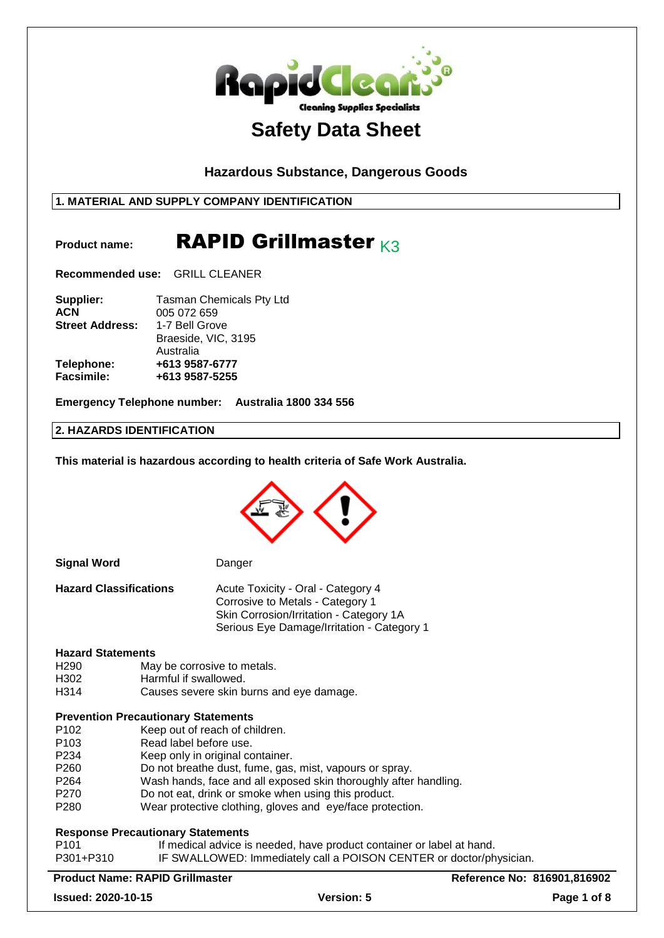

## **Hazardous Substance, Dangerous Goods**

## **1. MATERIAL AND SUPPLY COMPANY IDENTIFICATION**

## Product name: **RAPID Grillmaster** K3

**Recommended use:** GRILL CLEANER

| Supplier:              | <b>Tasman Chemicals Pty Ltd</b> |
|------------------------|---------------------------------|
| <b>ACN</b>             | 005 072 659                     |
| <b>Street Address:</b> | 1-7 Bell Grove                  |
|                        | Braeside, VIC, 3195             |
|                        | Australia                       |
| Telephone:             | +613 9587-6777                  |
| <b>Facsimile:</b>      | +613 9587-5255                  |

**Emergency Telephone number: Australia 1800 334 556**

## **2. HAZARDS IDENTIFICATION**

**This material is hazardous according to health criteria of Safe Work Australia.**

| <b>Signal Word</b>                         |                        | Danger                                                                                                                                                          |                             |
|--------------------------------------------|------------------------|-----------------------------------------------------------------------------------------------------------------------------------------------------------------|-----------------------------|
| <b>Hazard Classifications</b>              |                        | Acute Toxicity - Oral - Category 4<br>Corrosive to Metals - Category 1<br>Skin Corrosion/Irritation - Category 1A<br>Serious Eye Damage/Irritation - Category 1 |                             |
| <b>Hazard Statements</b>                   |                        |                                                                                                                                                                 |                             |
| H <sub>290</sub>                           |                        | May be corrosive to metals.                                                                                                                                     |                             |
| H <sub>302</sub>                           | Harmful if swallowed.  |                                                                                                                                                                 |                             |
| H314                                       |                        | Causes severe skin burns and eye damage.                                                                                                                        |                             |
| <b>Prevention Precautionary Statements</b> |                        |                                                                                                                                                                 |                             |
| P <sub>102</sub>                           |                        | Keep out of reach of children.                                                                                                                                  |                             |
| P <sub>103</sub>                           | Read label before use. |                                                                                                                                                                 |                             |
| P <sub>234</sub>                           |                        | Keep only in original container.                                                                                                                                |                             |
| P260                                       |                        | Do not breathe dust, fume, gas, mist, vapours or spray.                                                                                                         |                             |
| P <sub>264</sub>                           |                        | Wash hands, face and all exposed skin thoroughly after handling.                                                                                                |                             |
| P <sub>270</sub>                           |                        | Do not eat, drink or smoke when using this product.                                                                                                             |                             |
| P <sub>280</sub>                           |                        | Wear protective clothing, gloves and eye/face protection.                                                                                                       |                             |
| <b>Response Precautionary Statements</b>   |                        |                                                                                                                                                                 |                             |
| P <sub>101</sub>                           |                        | If medical advice is needed, have product container or label at hand.                                                                                           |                             |
| P301+P310                                  |                        | IF SWALLOWED: Immediately call a POISON CENTER or doctor/physician.                                                                                             |                             |
| <b>Product Name: RAPID Grillmaster</b>     |                        |                                                                                                                                                                 | Reference No: 816901,816902 |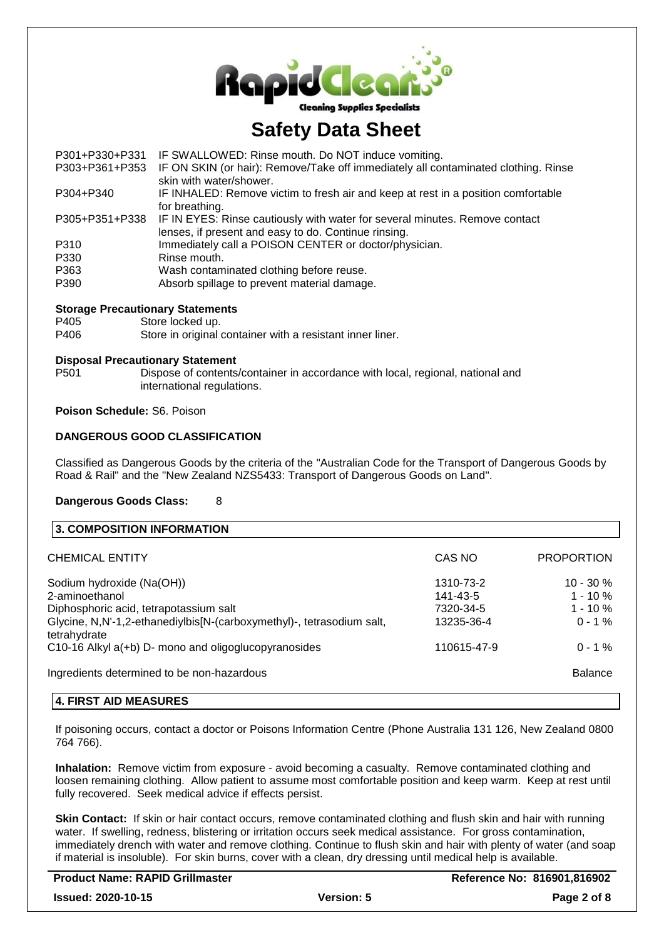

| P301+P330+P331 | IF SWALLOWED: Rinse mouth. Do NOT induce vomiting.                                                            |
|----------------|---------------------------------------------------------------------------------------------------------------|
| P303+P361+P353 | IF ON SKIN (or hair): Remove/Take off immediately all contaminated clothing. Rinse<br>skin with water/shower. |
|                |                                                                                                               |
| P304+P340      | IF INHALED: Remove victim to fresh air and keep at rest in a position comfortable                             |
|                | for breathing.                                                                                                |
| P305+P351+P338 | IF IN EYES: Rinse cautiously with water for several minutes. Remove contact                                   |
|                | lenses, if present and easy to do. Continue rinsing.                                                          |
| P310           | Immediately call a POISON CENTER or doctor/physician.                                                         |
| P330           | Rinse mouth.                                                                                                  |
| P363           | Wash contaminated clothing before reuse.                                                                      |
| P390           | Absorb spillage to prevent material damage.                                                                   |
|                |                                                                                                               |
|                |                                                                                                               |

#### **Storage Precautionary Statements**

P405 Store locked up.

## P406 Store in original container with a resistant inner liner.

### **Disposal Precautionary Statement**

P501 Dispose of contents/container in accordance with local, regional, national and international regulations.

## **Poison Schedule:** S6. Poison

### **DANGEROUS GOOD CLASSIFICATION**

Classified as Dangerous Goods by the criteria of the "Australian Code for the Transport of Dangerous Goods by Road & Rail" and the "New Zealand NZS5433: Transport of Dangerous Goods on Land".

### **Dangerous Goods Class:** 8

| 3. COMPOSITION INFORMATION                                                                                      |                       |                            |
|-----------------------------------------------------------------------------------------------------------------|-----------------------|----------------------------|
| CHEMICAL ENTITY                                                                                                 | CAS NO                | <b>PROPORTION</b>          |
| Sodium hydroxide (Na(OH))                                                                                       | 1310-73-2             | $10 - 30 %$                |
| 2-aminoethanol                                                                                                  | 141-43-5<br>7320-34-5 | $1 - 10 \%$<br>$1 - 10 \%$ |
| Diphosphoric acid, tetrapotassium salt<br>Glycine, N,N'-1,2-ethanediylbis[N-(carboxymethyl)-, tetrasodium salt, | 13235-36-4            | $0 - 1\%$                  |
| tetrahydrate                                                                                                    |                       |                            |
| C10-16 Alkyl a(+b) D- mono and oligoglucopyranosides                                                            | 110615-47-9           | $0 - 1\%$                  |
| Ingredients determined to be non-hazardous                                                                      |                       | <b>Balance</b>             |

### **4. FIRST AID MEASURES**

If poisoning occurs, contact a doctor or Poisons Information Centre (Phone Australia 131 126, New Zealand 0800 764 766).

**Inhalation:** Remove victim from exposure - avoid becoming a casualty. Remove contaminated clothing and loosen remaining clothing. Allow patient to assume most comfortable position and keep warm. Keep at rest until fully recovered. Seek medical advice if effects persist.

**Skin Contact:** If skin or hair contact occurs, remove contaminated clothing and flush skin and hair with running water. If swelling, redness, blistering or irritation occurs seek medical assistance. For gross contamination, immediately drench with water and remove clothing. Continue to flush skin and hair with plenty of water (and soap if material is insoluble). For skin burns, cover with a clean, dry dressing until medical help is available.

| <b>Product Name: RAPID Grillmaster</b> |                   | Reference No: 816901,816902 |
|----------------------------------------|-------------------|-----------------------------|
| <b>Issued: 2020-10-15</b>              | <b>Version: 5</b> | Page 2 of 8                 |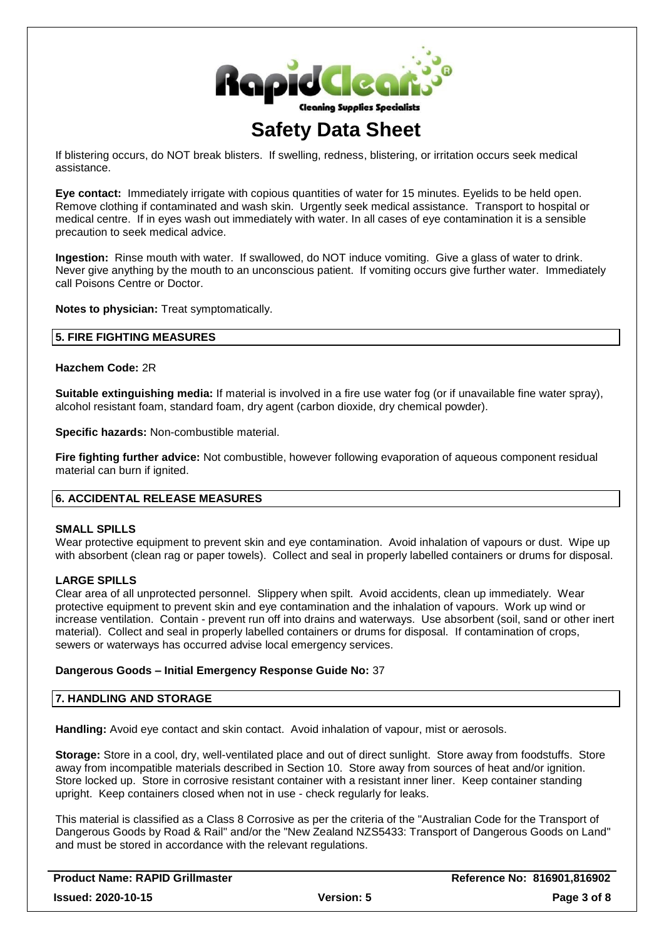

If blistering occurs, do NOT break blisters. If swelling, redness, blistering, or irritation occurs seek medical assistance.

**Eye contact:** Immediately irrigate with copious quantities of water for 15 minutes. Eyelids to be held open. Remove clothing if contaminated and wash skin. Urgently seek medical assistance. Transport to hospital or medical centre. If in eyes wash out immediately with water. In all cases of eye contamination it is a sensible precaution to seek medical advice.

**Ingestion:** Rinse mouth with water. If swallowed, do NOT induce vomiting. Give a glass of water to drink. Never give anything by the mouth to an unconscious patient. If vomiting occurs give further water. Immediately call Poisons Centre or Doctor.

**Notes to physician:** Treat symptomatically.

## **5. FIRE FIGHTING MEASURES**

**Hazchem Code:** 2R

**Suitable extinguishing media:** If material is involved in a fire use water fog (or if unavailable fine water spray), alcohol resistant foam, standard foam, dry agent (carbon dioxide, dry chemical powder).

**Specific hazards:** Non-combustible material.

**Fire fighting further advice:** Not combustible, however following evaporation of aqueous component residual material can burn if ignited.

## **6. ACCIDENTAL RELEASE MEASURES**

#### **SMALL SPILLS**

Wear protective equipment to prevent skin and eye contamination. Avoid inhalation of vapours or dust. Wipe up with absorbent (clean rag or paper towels). Collect and seal in properly labelled containers or drums for disposal.

## **LARGE SPILLS**

Clear area of all unprotected personnel. Slippery when spilt. Avoid accidents, clean up immediately. Wear protective equipment to prevent skin and eye contamination and the inhalation of vapours. Work up wind or increase ventilation. Contain - prevent run off into drains and waterways. Use absorbent (soil, sand or other inert material). Collect and seal in properly labelled containers or drums for disposal. If contamination of crops, sewers or waterways has occurred advise local emergency services.

#### **Dangerous Goods – Initial Emergency Response Guide No:** 37

#### **7. HANDLING AND STORAGE**

Handling: Avoid eye contact and skin contact. Avoid inhalation of vapour, mist or aerosols.

**Storage:** Store in a cool, dry, well-ventilated place and out of direct sunlight. Store away from foodstuffs. Store away from incompatible materials described in Section 10. Store away from sources of heat and/or ignition. Store locked up. Store in corrosive resistant container with a resistant inner liner. Keep container standing upright. Keep containers closed when not in use - check regularly for leaks.

This material is classified as a Class 8 Corrosive as per the criteria of the "Australian Code for the Transport of Dangerous Goods by Road & Rail" and/or the "New Zealand NZS5433: Transport of Dangerous Goods on Land" and must be stored in accordance with the relevant regulations.

| Product Name: RAPID Grillmaster |                   | Reference No: 816901,816902 |
|---------------------------------|-------------------|-----------------------------|
| <b>Issued: 2020-10-15</b>       | <b>Version: 5</b> | Page 3 of 8                 |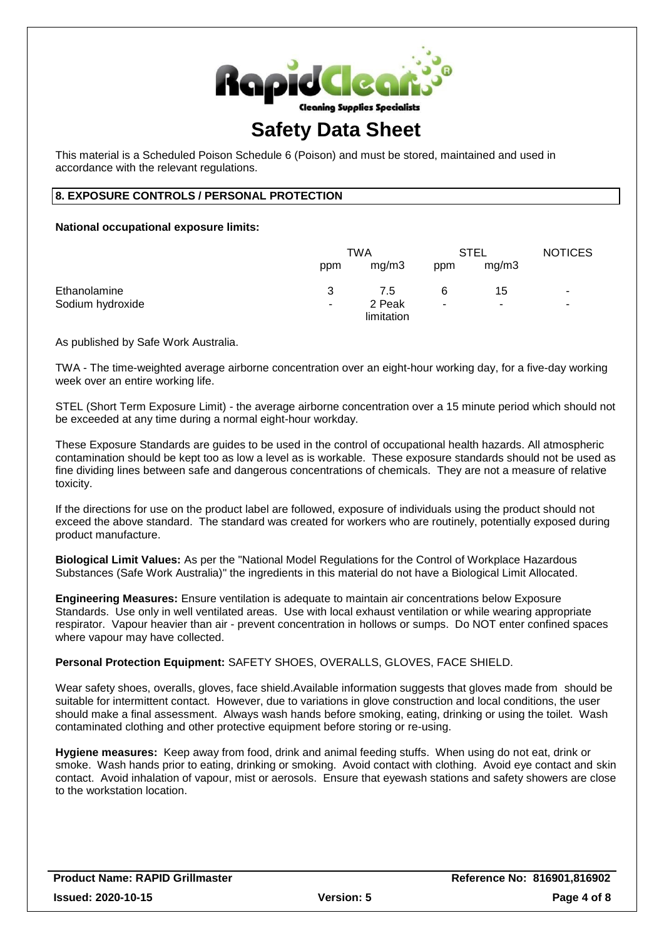

This material is a Scheduled Poison Schedule 6 (Poison) and must be stored, maintained and used in accordance with the relevant regulations.

## **8. EXPOSURE CONTROLS / PERSONAL PROTECTION**

### **National occupational exposure limits:**

|                  |     | TWA                  |     | <b>STEL</b> | <b>NOTICES</b> |
|------------------|-----|----------------------|-----|-------------|----------------|
|                  | ppm | mg/m3                | ppm | mg/m3       |                |
| Ethanolamine     | 3   | 7.5                  | 6   | 15          | $\blacksquare$ |
| Sodium hydroxide | ۰   | 2 Peak<br>limitation | ۰   | ٠           | ٠              |

As published by Safe Work Australia.

TWA - The time-weighted average airborne concentration over an eight-hour working day, for a five-day working week over an entire working life.

STEL (Short Term Exposure Limit) - the average airborne concentration over a 15 minute period which should not be exceeded at any time during a normal eight-hour workday.

These Exposure Standards are guides to be used in the control of occupational health hazards. All atmospheric contamination should be kept too as low a level as is workable. These exposure standards should not be used as fine dividing lines between safe and dangerous concentrations of chemicals. They are not a measure of relative toxicity.

If the directions for use on the product label are followed, exposure of individuals using the product should not exceed the above standard. The standard was created for workers who are routinely, potentially exposed during product manufacture.

**Biological Limit Values:** As per the "National Model Regulations for the Control of Workplace Hazardous Substances (Safe Work Australia)" the ingredients in this material do not have a Biological Limit Allocated.

**Engineering Measures:** Ensure ventilation is adequate to maintain air concentrations below Exposure Standards. Use only in well ventilated areas. Use with local exhaust ventilation or while wearing appropriate respirator. Vapour heavier than air - prevent concentration in hollows or sumps. Do NOT enter confined spaces where vapour may have collected.

**Personal Protection Equipment:** SAFETY SHOES, OVERALLS, GLOVES, FACE SHIELD.

Wear safety shoes, overalls, gloves, face shield.Available information suggests that gloves made from should be suitable for intermittent contact. However, due to variations in glove construction and local conditions, the user should make a final assessment. Always wash hands before smoking, eating, drinking or using the toilet. Wash contaminated clothing and other protective equipment before storing or re-using.

**Hygiene measures:** Keep away from food, drink and animal feeding stuffs. When using do not eat, drink or smoke. Wash hands prior to eating, drinking or smoking. Avoid contact with clothing. Avoid eye contact and skin contact. Avoid inhalation of vapour, mist or aerosols. Ensure that eyewash stations and safety showers are close to the workstation location.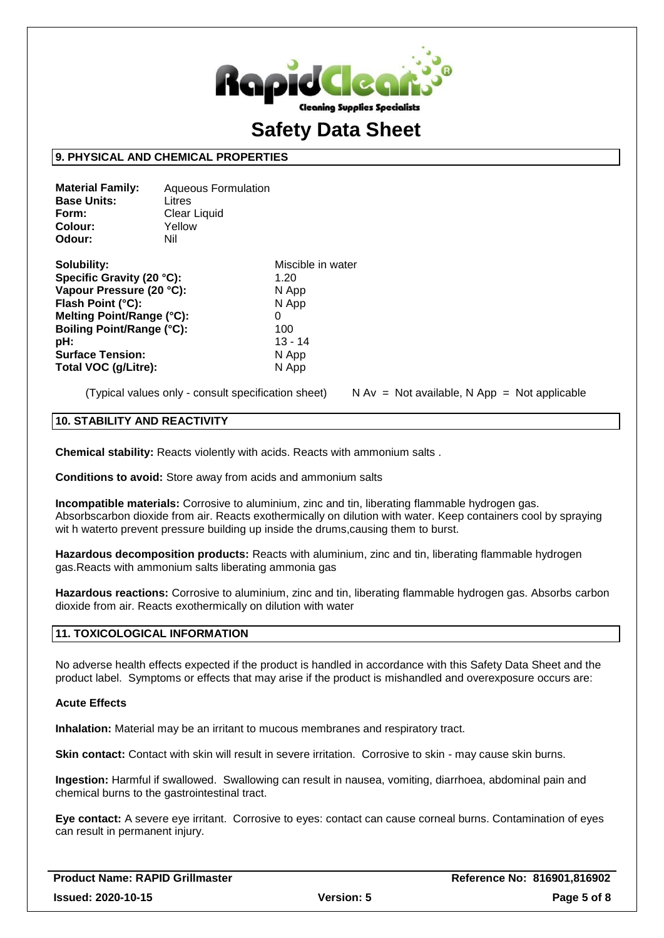

### **9. PHYSICAL AND CHEMICAL PROPERTIES**

| <b>Aqueous Formulation</b> |
|----------------------------|
| Litres                     |
| Clear Liquid               |
| Yellow                     |
| Nil                        |
|                            |

| Solubility:               | Miscible in water |
|---------------------------|-------------------|
| Specific Gravity (20 °C): | 1.20              |
| Vapour Pressure (20 °C):  | N App             |
| Flash Point (°C):         | N App             |
| Melting Point/Range (°C): |                   |
| Boiling Point/Range (°C): | 100               |
| pH:                       | $13 - 14$         |
| <b>Surface Tension:</b>   | N App             |
| Total VOC (g/Litre):      | N App             |

(Typical values only - consult specification sheet)  $\blacksquare$  N Av = Not available, N App = Not applicable

### **10. STABILITY AND REACTIVITY**

**Chemical stability:** Reacts violently with acids. Reacts with ammonium salts .

**Conditions to avoid:** Store away from acids and ammonium salts

**Incompatible materials:** Corrosive to aluminium, zinc and tin, liberating flammable hydrogen gas. Absorbscarbon dioxide from air. Reacts exothermically on dilution with water. Keep containers cool by spraying wit h waterto prevent pressure building up inside the drums,causing them to burst.

**Hazardous decomposition products:** Reacts with aluminium, zinc and tin, liberating flammable hydrogen gas.Reacts with ammonium salts liberating ammonia gas

**Hazardous reactions:** Corrosive to aluminium, zinc and tin, liberating flammable hydrogen gas. Absorbs carbon dioxide from air. Reacts exothermically on dilution with water

## **11. TOXICOLOGICAL INFORMATION**

No adverse health effects expected if the product is handled in accordance with this Safety Data Sheet and the product label. Symptoms or effects that may arise if the product is mishandled and overexposure occurs are:

#### **Acute Effects**

**Inhalation:** Material may be an irritant to mucous membranes and respiratory tract.

**Skin contact:** Contact with skin will result in severe irritation. Corrosive to skin - may cause skin burns.

**Ingestion:** Harmful if swallowed. Swallowing can result in nausea, vomiting, diarrhoea, abdominal pain and chemical burns to the gastrointestinal tract.

**Eye contact:** A severe eye irritant. Corrosive to eyes: contact can cause corneal burns. Contamination of eyes can result in permanent injury.

| <b>Product Name: RAPID Grillmaster</b> |                   | Reference No: 816901,816902 |
|----------------------------------------|-------------------|-----------------------------|
| <b>Issued: 2020-10-15</b>              | <b>Version: 5</b> | Page 5 of 8                 |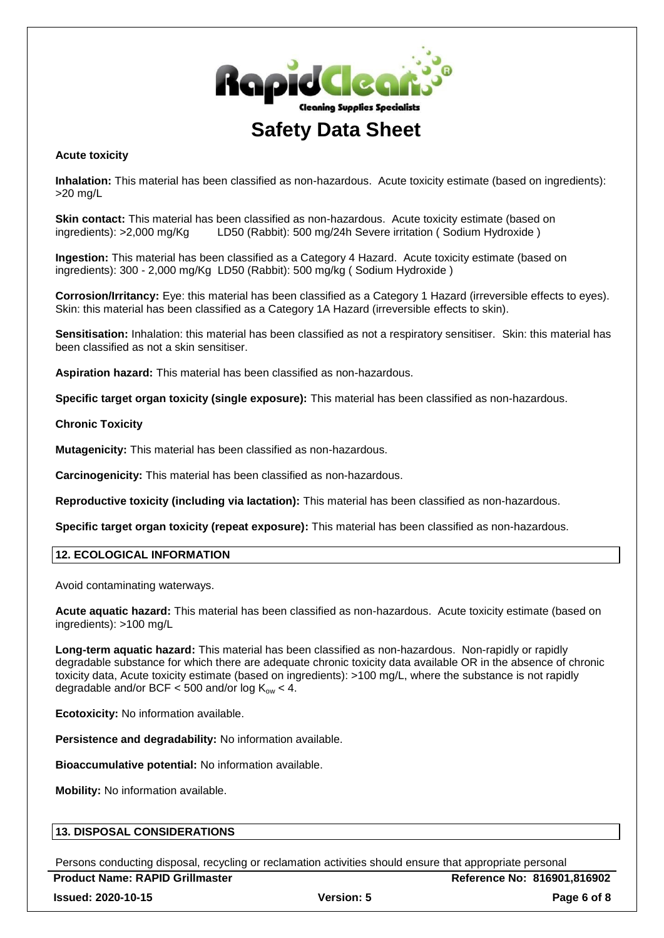

### **Acute toxicity**

**Inhalation:** This material has been classified as non-hazardous. Acute toxicity estimate (based on ingredients): >20 mg/L

**Skin contact:** This material has been classified as non-hazardous. Acute toxicity estimate (based on ingredients): >2,000 mg/Kg LD50 (Rabbit): 500 mg/24h Severe irritation ( Sodium Hydroxide )

**Ingestion:** This material has been classified as a Category 4 Hazard. Acute toxicity estimate (based on ingredients): 300 - 2,000 mg/Kg LD50 (Rabbit): 500 mg/kg ( Sodium Hydroxide )

**Corrosion/Irritancy:** Eye: this material has been classified as a Category 1 Hazard (irreversible effects to eyes). Skin: this material has been classified as a Category 1A Hazard (irreversible effects to skin).

**Sensitisation:** Inhalation: this material has been classified as not a respiratory sensitiser. Skin: this material has been classified as not a skin sensitiser.

**Aspiration hazard:** This material has been classified as non-hazardous.

**Specific target organ toxicity (single exposure):** This material has been classified as non-hazardous.

### **Chronic Toxicity**

**Mutagenicity:** This material has been classified as non-hazardous.

**Carcinogenicity:** This material has been classified as non-hazardous.

**Reproductive toxicity (including via lactation):** This material has been classified as non-hazardous.

**Specific target organ toxicity (repeat exposure):** This material has been classified as non-hazardous.

### **12. ECOLOGICAL INFORMATION**

Avoid contaminating waterways.

**Acute aquatic hazard:** This material has been classified as non-hazardous. Acute toxicity estimate (based on ingredients): >100 mg/L

**Long-term aquatic hazard:** This material has been classified as non-hazardous. Non-rapidly or rapidly degradable substance for which there are adequate chronic toxicity data available OR in the absence of chronic toxicity data, Acute toxicity estimate (based on ingredients): >100 mg/L, where the substance is not rapidly degradable and/or BCF < 500 and/or  $log K_{ow}$  < 4.

**Ecotoxicity:** No information available.

**Persistence and degradability:** No information available.

**Bioaccumulative potential:** No information available.

**Mobility:** No information available.

## **13. DISPOSAL CONSIDERATIONS**

Persons conducting disposal, recycling or reclamation activities should ensure that appropriate personal

**Product Name: RAPID Grillmaster Reference No: 816901,816902 Issued: 2020-10-15 Version: 5 Page 6 of 8**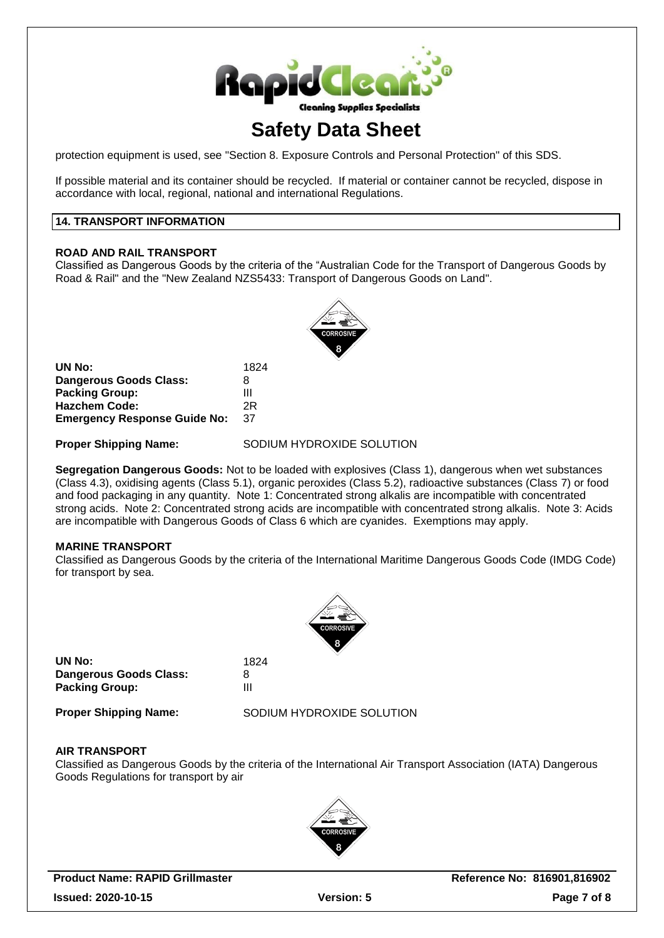

protection equipment is used, see "Section 8. Exposure Controls and Personal Protection" of this SDS.

If possible material and its container should be recycled. If material or container cannot be recycled, dispose in accordance with local, regional, national and international Regulations.

## **14. TRANSPORT INFORMATION**

### **ROAD AND RAIL TRANSPORT**

Classified as Dangerous Goods by the criteria of the "Australian Code for the Transport of Dangerous Goods by Road & Rail" and the "New Zealand NZS5433: Transport of Dangerous Goods on Land".



| UN No:                              | 1824 |
|-------------------------------------|------|
| Dangerous Goods Class:              | 8    |
| <b>Packing Group:</b>               | Ш    |
| <b>Hazchem Code:</b>                | 2R   |
| <b>Emergency Response Guide No:</b> | 37   |

**Proper Shipping Name:** SODIUM HYDROXIDE SOLUTION

**Segregation Dangerous Goods:** Not to be loaded with explosives (Class 1), dangerous when wet substances (Class 4.3), oxidising agents (Class 5.1), organic peroxides (Class 5.2), radioactive substances (Class 7) or food and food packaging in any quantity. Note 1: Concentrated strong alkalis are incompatible with concentrated strong acids. Note 2: Concentrated strong acids are incompatible with concentrated strong alkalis. Note 3: Acids are incompatible with Dangerous Goods of Class 6 which are cyanides. Exemptions may apply.

## **MARINE TRANSPORT**

Classified as Dangerous Goods by the criteria of the International Maritime Dangerous Goods Code (IMDG Code) for transport by sea.



**UN No:** 1824 **Dangerous Goods Class:** 8 **Packing Group:** III

**Proper Shipping Name:** SODIUM HYDROXIDE SOLUTION

#### **AIR TRANSPORT**

Classified as Dangerous Goods by the criteria of the International Air Transport Association (IATA) Dangerous Goods Regulations for transport by air